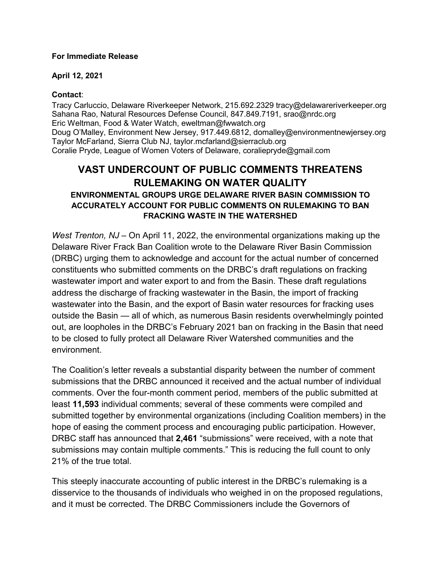#### **For Immediate Release**

#### **April 12, 2021**

### **Contact**:

Tracy Carluccio, Delaware Riverkeeper Network, 215.692.2329 tracy@delawareriverkeeper.org Sahana Rao, Natural Resources Defense Council, 847.849.7191, srao@nrdc.org Eric Weltman, Food & Water Watch, eweltman@fwwatch.org Doug O'Malley, Environment New Jersey, 917.449.6812, domalley@environmentnewjersey.org Taylor McFarland, Sierra Club NJ, taylor.mcfarland@sierraclub.org Coralie Pryde, League of Women Voters of Delaware, coraliepryde@gmail.com

# **VAST UNDERCOUNT OF PUBLIC COMMENTS THREATENS RULEMAKING ON WATER QUALITY**

## **ENVIRONMENTAL GROUPS URGE DELAWARE RIVER BASIN COMMISSION TO ACCURATELY ACCOUNT FOR PUBLIC COMMENTS ON RULEMAKING TO BAN FRACKING WASTE IN THE WATERSHED**

*West Trenton, NJ* – On April 11, 2022, the environmental organizations making up the Delaware River Frack Ban Coalition wrote to the Delaware River Basin Commission (DRBC) urging them to acknowledge and account for the actual number of concerned constituents who submitted comments on the DRBC's draft regulations on fracking wastewater import and water export to and from the Basin. These draft regulations address the discharge of fracking wastewater in the Basin, the import of fracking wastewater into the Basin, and the export of Basin water resources for fracking uses outside the Basin — all of which, as numerous Basin residents overwhelmingly pointed out, are loopholes in the DRBC's February 2021 ban on fracking in the Basin that need to be closed to fully protect all Delaware River Watershed communities and the environment.

The Coalition's letter reveals a substantial disparity between the number of comment submissions that the DRBC announced it received and the actual number of individual comments. Over the four-month comment period, members of the public submitted at least **11,593** individual comments; several of these comments were compiled and submitted together by environmental organizations (including Coalition members) in the hope of easing the comment process and encouraging public participation. However, DRBC staff has announced that **2,461** "submissions" were received, with a note that submissions may contain multiple comments." This is reducing the full count to only 21% of the true total.

This steeply inaccurate accounting of public interest in the DRBC's rulemaking is a disservice to the thousands of individuals who weighed in on the proposed regulations, and it must be corrected. The DRBC Commissioners include the Governors of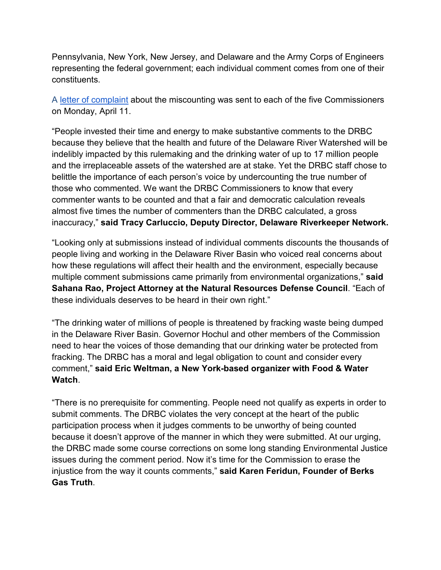Pennsylvania, New York, New Jersey, and Delaware and the Army Corps of Engineers representing the federal government; each individual comment comes from one of their constituents.

A [letter of complaint](https://www.delawareriverkeeper.org/sites/default/files/Letter%20to%20DRBC%20Governors,%20Federal%20Rep%20re%20Comments%20(2022-04-11).pdf) about the miscounting was sent to each of the five Commissioners on Monday, April 11.

"People invested their time and energy to make substantive comments to the DRBC because they believe that the health and future of the Delaware River Watershed will be indelibly impacted by this rulemaking and the drinking water of up to 17 million people and the irreplaceable assets of the watershed are at stake. Yet the DRBC staff chose to belittle the importance of each person's voice by undercounting the true number of those who commented. We want the DRBC Commissioners to know that every commenter wants to be counted and that a fair and democratic calculation reveals almost five times the number of commenters than the DRBC calculated, a gross inaccuracy," **said Tracy Carluccio, Deputy Director, Delaware Riverkeeper Network.**

"Looking only at submissions instead of individual comments discounts the thousands of people living and working in the Delaware River Basin who voiced real concerns about how these regulations will affect their health and the environment, especially because multiple comment submissions came primarily from environmental organizations," **said Sahana Rao, Project Attorney at the Natural Resources Defense Council**. "Each of these individuals deserves to be heard in their own right."

"The drinking water of millions of people is threatened by fracking waste being dumped in the Delaware River Basin. Governor Hochul and other members of the Commission need to hear the voices of those demanding that our drinking water be protected from fracking. The DRBC has a moral and legal obligation to count and consider every comment," **said Eric Weltman, a New York-based organizer with Food & Water Watch**.

"There is no prerequisite for commenting. People need not qualify as experts in order to submit comments. The DRBC violates the very concept at the heart of the public participation process when it judges comments to be unworthy of being counted because it doesn't approve of the manner in which they were submitted. At our urging, the DRBC made some course corrections on some long standing Environmental Justice issues during the comment period. Now it's time for the Commission to erase the injustice from the way it counts comments," **said Karen Feridun, Founder of Berks Gas Truth**.